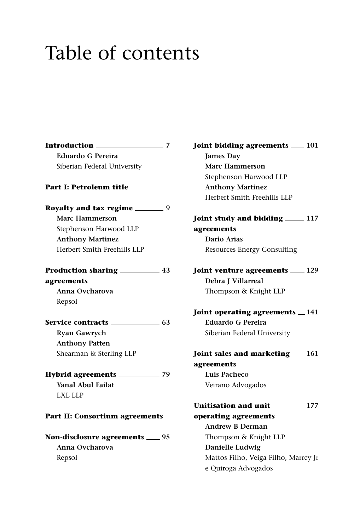# Table of contents

|                          | Introduction _________<br>- 7      |
|--------------------------|------------------------------------|
| <b>Eduardo G Pereira</b> |                                    |
|                          | Siberian Federal University        |
| Part I: Petroleum title  |                                    |
|                          | Royalty and tax regime _________ 9 |
| <b>Marc Hammerson</b>    |                                    |
|                          | Stephenson Harwood LLP             |
| <b>Anthony Martinez</b>  |                                    |
|                          | Herbert Smith Freehills LLP        |
|                          | Production sharing ___________ 43  |
| agreements               |                                    |
| Anna Ovcharova           |                                    |
| Repsol                   |                                    |
|                          |                                    |
| <b>Ryan Gawrych</b>      |                                    |
| <b>Anthony Patten</b>    |                                    |
|                          | Shearman & Sterling LLP            |
|                          |                                    |
| <b>Yanal Abul Failat</b> |                                    |
| LXL LLP                  |                                    |
|                          | Part II: Consortium agreements     |
|                          | Non-disclosure agreements ___ 95   |
| Anna Ovcharova           |                                    |
| Repsol                   |                                    |

**Joint bidding agreements** \_\_ 101 **James Day Marc Hammerson** Stephenson Harwood LLP **Anthony Martinez** Herbert Smith Freehills LLP **Joint study and bidding 117**

**agreements Dario Arias** Resources Energy Consulting

**Joint venture agreements 129 Debra J Villarreal** Thompson & Knight LLP

**Joint operating agreements 141 Eduardo G Pereira** Siberian Federal University

Joint sales and marketing  $161$ **agreements Luis Pacheco** Veirano Advogados

#### **Unitisation and unit 177**

**operating agreements Andrew B Derman** Thompson & Knight LLP **Danielle Ludwig** Mattos Filho, Veiga Filho, Marrey Jr e Quiroga Advogados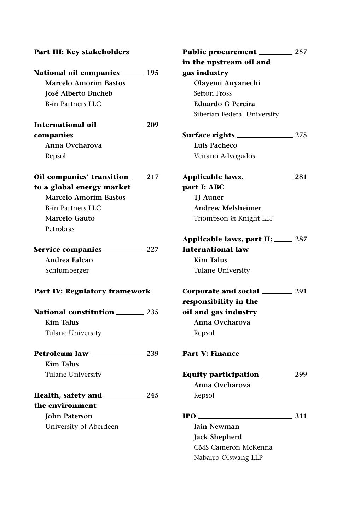#### **Part III: Key stakeholders**

National oil companies **195 Marcelo Amorim Bastos José Alberto Bucheb** B-in Partners LLC **International oil 209**

**companies Anna Ovcharova** Repsol

**Oil companies' transition 217 to a global energy market Marcelo Amorim Bastos** B-in Partners LLC **Marcelo Gauto** Petrobras

**Service companies 227 Andrea Falcão** Schlumberger

#### **Part IV: Regulatory framework**

| National constitution ______ | -235 |
|------------------------------|------|
| Kim Talus                    |      |
| Tulane University            |      |
|                              |      |

**Petroleum law 239 Kim Talus** Tulane University

## **Health, safety and 245 the environment John Paterson** University of Aberdeen

**Public procurement 257 in the upstream oil and gas industry Olayemi Anyanechi** Sefton Fross **Eduardo G Pereira** Siberian Federal University **Surface rights 275 Luis Pacheco** Veirano Advogados **Applicable laws, 281 part I: ABC TJ Auner Andrew Melsheimer** Thompson & Knight LLP **Applicable laws, part II: 287 International law Kim Talus** Tulane University **Corporate and social 291 responsibility in the oil and gas industry Anna Ovcharova** Repsol **Part V: Finance Equity participation 299 Anna Ovcharova** Repsol **IPO 311 Iain Newman**

**Jack Shepherd** CMS Cameron McKenna Nabarro Olswang LLP